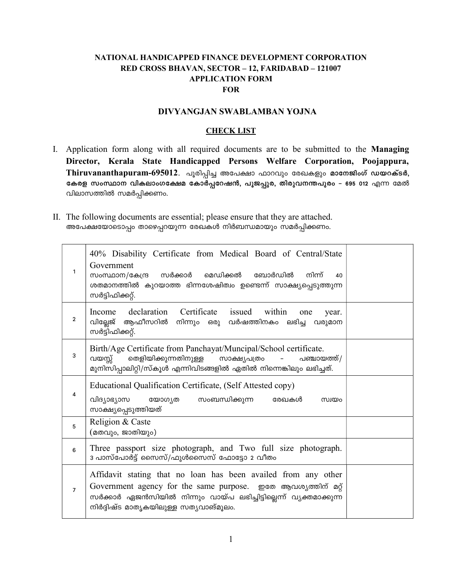### NATIONAL HANDICAPPED FINANCE DEVELOPMENT CORPORATION RED CROSS BHAVAN, SECTOR – 12, FARIDABAD – 121007 APPLICATION FORM FOR

### DIVYANGJAN SWABLAMBAN YOJNA

### **CHECK LIST**

- I. Application form along with all required documents are to be submitted to the Managing Director, Kerala State Handicapped Persons Welfare Corporation, Poojappura, Thiruvananthapuram-695012. പൂരിപ്പിച്ച അപേക്ഷാ ഫാറവും രേഖകളും മാനേജിംഗ് ഡയറക്ടർ, കേരള സംസ്ഥാന വികലാംഗക്ഷേമ കോർപ്പറേഷൻ, പൂജപ്പുര, തിരുവനന്തപുരം – 695 012 എന്ന മേൽ വിലാസത്തിൽ സമർപ്പിക്കണം.
- II. The following documents are essential; please ensure that they are attached. അപേക്ഷയോടൊപ്പം താഴെപ്പറയുന്ന രേഖകൾ നിർബന്ധമായും സമർപ്പിക്കണം.

| 1              | 40% Disability Certificate from Medical Board of Central/State<br>Government<br>സംസ്ഥാന/കേന്ദ്ര സർക്കാർ<br>മെഡിക്കൽ ബോർഡിൽ<br>നിന്ന്<br>40<br>ശതമാനത്തിൽ കുറയാത്ത ഭിന്നശേഷിത്വം ഉണ്ടെന്ന് സാക്ഷ്യപ്പെടുത്തുന്ന<br>സർട്ടിഫിക്കറ്റ്.             |  |
|----------------|------------------------------------------------------------------------------------------------------------------------------------------------------------------------------------------------------------------------------------------------|--|
| 2              | Income declaration Certificate issued within<br>one<br>year.<br>വില്ലേജ് ആഫീസറിൽ നിന്നും ഒരു വർഷത്തിനകം ലഭിച്ച വരുമാന<br>സർട്ടിഫിക്കറ്റ്.                                                                                                      |  |
| 3              | Birth/Age Certificate from Panchayat/Muncipal/School certificate.<br>വയസ്സ്<br>തെളിയിക്കുന്നതിനുള്ള സാക്ഷ്യപത്രം<br>പഞ്ചായത്ത്/<br>മുനിസിപ്പാലിറ്റി/സ്കൂൾ എന്നിവിടങ്ങളിൽ ഏതിൽ നിന്നെങ്കിലും ലഭിച്ചത്.                                          |  |
| 4              | Educational Qualification Certificate, (Self Attested copy)<br>വിദ്യാഭ്യാസ യോഗൃത<br>സംബന്ധിക്കുന്ന<br>രേഖകൾ<br>സ്വയം<br>സാക്ഷ്യപ്പെടുത്തിയത്                                                                                                   |  |
| 5              | Religion & Caste<br>(മതവും, ജാതിയും)                                                                                                                                                                                                           |  |
| 6              | Three passport size photograph, and Two full size photograph.<br>3 പാസ്പോർട്ട് സൈസ്/ഫുൾസൈസ് ഫോട്ടോ 2 വീതം                                                                                                                                      |  |
| $\overline{7}$ | Affidavit stating that no loan has been availed from any other<br>Government agency for the same purpose. ഇതേ ആവശ്യത്തിന് മറ്റ്<br>സർക്കാർ ഏജൻസിയിൽ നിന്നും വായ്പ ലഭിച്ചിട്ടില്ലെന്ന് വ്യക്തമാക്കുന്ന<br>നിർദ്ദിഷ്ട മാതൃകയിലുള്ള സത്യവാങ്മൂലം. |  |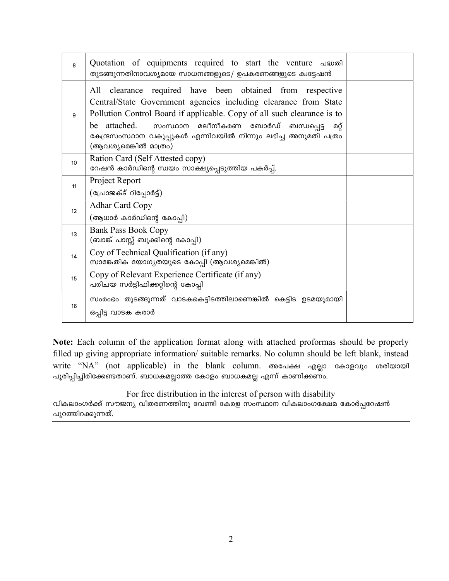| 8  | Quotation of equipments required to start the venture diavol<br>തുടങ്ങുന്നതിനാവശ്യമായ സാധനങ്ങളുടെ/ ഉപകരണങ്ങളുടെ ക്വട്ടേഷൻ                                                                                                                                                                                                                                             |  |
|----|-----------------------------------------------------------------------------------------------------------------------------------------------------------------------------------------------------------------------------------------------------------------------------------------------------------------------------------------------------------------------|--|
| 9  | All clearance required have been obtained from respective<br>Central/State Government agencies including clearance from State<br>Pollution Control Board if applicable. Copy of all such clearance is to<br>be attached.<br>സംസ്ഥാന മലീനീകരണ<br>ബോർഡ്<br>ബന്ധപ്പെട്ട<br>ΦŎ<br>കേന്ദ്രസംസ്ഥാന വകുപ്പുകൾ എന്നിവയിൽ നിന്നും ലഭിച്ച അനുമതി പത്രം<br>(ആവശ്യമെങ്കിൽ മാത്രം) |  |
| 10 | Ration Card (Self Attested copy)<br>റേഷൻ കാർഡിന്റെ സ്വയം സാക്ഷ്യപ്പെടുത്തിയ പകർപ്പ്.                                                                                                                                                                                                                                                                                  |  |
| 11 | Project Report<br>(പ്രോജക്ട് റിപ്പോർട്ട്)                                                                                                                                                                                                                                                                                                                             |  |
| 12 | <b>Adhar Card Copy</b><br>(ആധാർ കാർഡിന്റെ കോപ്പി)                                                                                                                                                                                                                                                                                                                     |  |
| 13 | <b>Bank Pass Book Copy</b><br>(ബാങ്ക് പാസ്സ് ബുക്കിന്റെ കോപ്പി)                                                                                                                                                                                                                                                                                                       |  |
| 14 | Coy of Technical Qualification (if any)<br>സാങ്കേതിക യോഗ്യതയുടെ കോപ്പി (ആവശ്യമെങ്കിൽ)                                                                                                                                                                                                                                                                                 |  |
| 15 | Copy of Relevant Experience Certificate (if any)<br>പരിചയ സർട്ടിഫിക്കറ്റിന്റെ കോപ്പി                                                                                                                                                                                                                                                                                  |  |
| 16 | സംരംഭം തുടങ്ങുന്നത് വാടകകെട്ടിടത്തിലാണെങ്കിൽ കെട്ടിട ഉടമയുമായി<br>ഒപ്പിട്ട വാടക കരാർ                                                                                                                                                                                                                                                                                  |  |

Note: Each column of the application format along with attached proformas should be properly filled up giving appropriate information/ suitable remarks. No column should be left blank, instead write "NA" (not applicable) in the blank column. അപേക്ഷ എല്ലാ കോളവും ശരിയായി .<br>പൂരിപ്പിച്ചിരിക്കേണ്ടതാണ്. ബാധകമല്ലാത്ത കോളം ബാധകമല്ല എന്ന് കാണിക്കണം.

For free distribution in the interest of person with disability വികലാംഗർക്ക് സൗജന്യ വിതരണത്തിനു വേണ്ടി കേരള സംസ്ഥാന വികലാംഗക്ഷേമ കോർപ്പറേഷൻ പുറത്തിറക്കുന്നത്.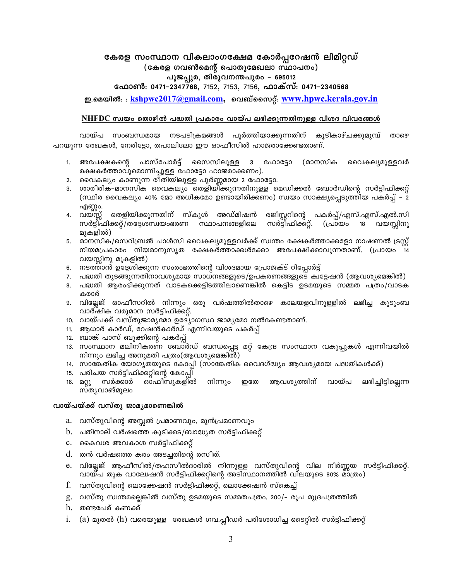### കേരള സംസ്ഥാന വികലാംഗക്ഷേമ കോർപ്പറേഷൻ ലിമിറ്റഡ് (കേരള ഗവൺമെന്റ് പൊതുമേഖലാ സ്ഥാപനം)

### പൂജപ്പുര, തിരുവനന്തപുരം - 695012

ഫോൺ: 0471–2347768, 7152, 7153, 7156, ഫാക്സ്: 0471–2340568

ഇ.മെയിൽ:: kshpwc2017@gmail.com, വെബ്സൈറ്റ്: www.hpwc.kerala.gov.in

### NHFDC സ്വയം തൊഴിൽ പദ്ധതി പ്രകാരം വായ്പ ലഭിക്കുന്നതിനുള്ള വിശദ വിവരങ്ങൾ

വായ്പ സംബന്ധമായ നടപടിക്രമങ്ങൾ പൂർത്തിയാക്കുന്നതിന് കൂടികാഴ്ചക്കുമുമ്പ് താഴെ പറയുന്ന രേഖകൾ, നേരിട്ടോ, തപാലിലോ ഈ ഓഫീസിൽ ഹാജരാക്കേണ്ടതാണ്.

- 3 ഫോട്ടോ 1. അപേക്ഷകന്റെ പാസ്പോർട്ട് സൈസിലുള്ള (മാനസിക വൈകല്യമുള്ളവർ രക്ഷകർത്താവുമൊന്നിച്ചുള്ള ഫോട്ടോ ഹാജരാക്കണം).
- 2. വൈകല്യം കാണുന്ന രീതിയിലുള്ള പൂർണ്ണമായ 2 ഫോട്ടോ.
- 3. ശാരീരിക–മാനസിക വൈകല്യം തെളിയിക്കുന്നതിനുള്ള മെഡിക്കൽ ബോർഡിന്റെ സർട്ടിഫിക്കറ്റ് (സ്ഥിര വൈകല്യം 40% മോ അധികമോ ഉണ്ടായിരിക്കണം) സ്വയം സാക്ഷ്യപ്പെടുത്തിയ പകർപ്പ് – 2 എണ്ണo.
- തെളിയിക്കുന്നതിന് സ്കൂൾ അഡ്മിഷൻ രജിസ്റ്ററിന്റെ പകർപ്പ്/എസ്.എസ്.എൽ.സി 4. വയസ്സ് സർട്ടിഫിക്കറ്റ്/തദ്ദേശസ്വയംഭരണ സ്ഥാപനങ്ങളിലെ സർട്ടിഫിക്കറ്റ്. 18 വയസ്സിനു (പ്രായം മുകളിൽ)
- മാനസിക/സെറിബ്രൽ പാൾസി വൈകല്യമുള്ളവർക്ക് സ്വന്തം രക്ഷകർത്താക്കളോ നാഷണൽ ട്രസ്റ്റ് 5. നിയമപ്രകാരം നിയമാനുസൃത രക്ഷകർത്താക്കൾക്കോ അപേക്ഷിക്കാവുന്നതാണ്. (പ്രായം 14 വയസ്സിനു മുകളിൽ)
- 6. നടത്താൻ ഉദ്ദേശിക്കുന്ന സംരംഭത്തിന്റെ വിശദമായ പ്രോജക്ട് റിപ്പോർട്ട്
- 7. പദ്ധതി തുടങ്ങുന്നതിനാവശ്യമായ സാധനങ്ങളുടെ/ഉപകരണങ്ങളുടെ ക്വട്ടേഷൻ (ആവശ്യമെങ്കിൽ)
- 8. പദ്ധതി ആരംഭിക്കുന്നത് വാടകക്കെട്ടിടത്തിലാണെങ്കിൽ കെട്ടിട ഉടമയുടെ സമ്മത പത്രം/വാടക കരാർ
- 9. വില്ലേജ് ഓഫീസറിൽ നിന്നും ഒരു വർഷത്തിൽതാഴെ കാലയളവിനുള്ളിൽ ലഭിച്ച കുടുംബ വാർഷിക വരുമാന സർട്ടിഫിക്കറ്റ്.
- 10. വായ്പക്ക് വസ്തുജാമൃമോ ഉദ്യോഗസ്ഥ ജാമൃമോ നൽകേണ്ടതാണ്.
- 11. ആധാർ കാർഡ്, റേഷൻകാർഡ് എന്നിവയുടെ പകർപ്പ്
- 12. ബാങ്ക് പാസ് ബുക്കിന്റെ പകർപ്പ്
- 13. സംസ്ഥാന മലിനീകരണ ബോർഡ് ബന്ധപ്പെട്ട മറ്റ് കേന്ദ്ര സംസ്ഥാന വകുപ്പുകൾ എന്നിവയിൽ നിന്നും ലഭിച്ച അനുമതി പത്രം(ആവശ്യമെങ്കിൽ)
- 14. സാങ്കേതിക യോഗ്യതയുടെ കോപ്പി (സാങ്കേതിക വൈദഗ്ദ്ധ്യം ആവശ്യമായ പദ്ധതികൾക്ക്)
- 15. പരിചയ സർട്ടിഫിക്കറ്റിന്റെ കോപ്പി
- 16. മറ്റു സർക്കാർ ഓഫീസുകളിൽ നിന്നും றலே ആവശ്യത്തിന് വായ്പ ലഭിച്ചിട്ടില്ലെന്ന സത്യവാങ്മൂലം

### വായ്പയ്ക്ക് വസ്തു ജാമൃമാണെങ്കിൽ

- a. വസ്തുവിന്റെ അസ്സൽ പ്രമാണവും, മുൻപ്രമാണവും
- b. പതിനാല് വർഷത്തെ കുടിക്കട/ബാദ്ധ്യത സർട്ടിഫിക്കറ്റ്
- c. കൈവശ അവകാശ സർട്ടിഫിക്കറ്റ്
- d. തൻ വർഷത്തെ കരം അടച്ചതിന്റെ രസീത്.
- e. വില്ലേജ് ആഫീസിൽ/തഹസീൽദാരിൽ നിന്നുള്ള വസ്തുവിന്റെ വില നിർണ്ണയ സർട്ടിഫിക്കറ്റ്. വായ്പ തുക വാല്വേഷൻ സർട്ടിഫിക്കറ്റിന്റെ അടിസ്ഥാനത്തിൽ വിലയുടെ 80% മാത്രം)
- f. വസ്തുവിന്റെ ലൊക്കേഷൻ സർട്ടിഫിക്കറ്റ്, ലൊക്കേഷൻ സ്കെച്ച്
- g. വസ്തു സ്വന്തമല്ലെങ്കിൽ വസ്തു ഉടമയുടെ സമ്മതപത്രം. 200/- രൂപ മുദ്രപത്രത്തിൽ
- h. തണ്ടപേര് കണക്ക്
- i. (a) മുതൽ (h) വരെയുള്ള രേഖകൾ ഗവ.പ്ലീഡർ പരിശോധിച്ച ടൈറ്റിൽ സർട്ടിഫിക്കറ്റ്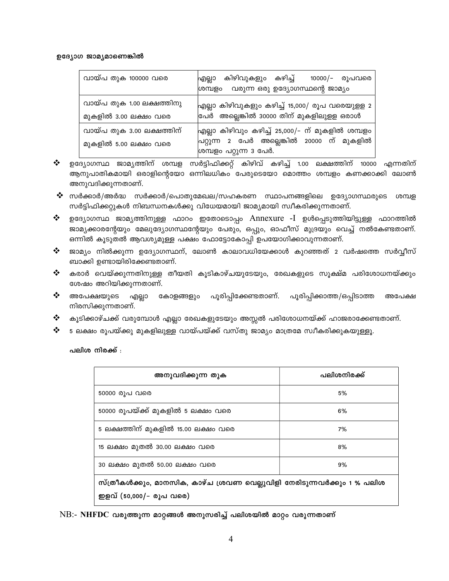#### ഉദ്യോഗ ജാമൃമാണെങ്കിൽ

| വായ്പ തുക 100000 വരെ                               | ഫ്ലില്ലാ കിഴിവുകളും കഴിച്ച്  10000/– രൂപവരെ<br>ശമ്പളം വരുന്ന ഒരു ഉദ്യോഗസ്ഥന്റെ ജാമ്യം                                    |
|----------------------------------------------------|--------------------------------------------------------------------------------------------------------------------------|
| വായ്പ തുക 1.00 ലക്ഷത്തിനു<br>മുകളിൽ 3.00 ലക്ഷം വരെ | ഫ്രില്ലാ കിഴിവുകളും കഴിച്ച് 15,000/ രൂപ വരെയുളള 2<br>വേർ അല്ലെങ്കിൽ 30000 തിന് മുകളിലുളള ഒരാൾ                            |
| വായ്പ തുക 3.00 ലക്ഷത്തിന്<br>മുകളിൽ 5.00 ലക്ഷം വരെ | എല്ലാ കിഴിവും കഴിച്ച് 25,000/– ന് മുകളിൽ ശമ്പളം<br>പ്രറ്റുന്ന 2 പേർ അല്ലെങ്കിൽ 20000 ന് മുകളിൽ<br>ശമ്പളം പറ്റുന്ന 3 പേർ. |

- 豪心 ഉദ്യോഗസ്ഥ ജാമ്യത്തിന് ശമ്പള സർട്ടിഫിക്കറ്റ് കിഴിവ് കഴിച്ച് 1.00 ലക്ഷത്തിന് 10000 എന്നതിന് ആനുപാതികമായി ഒരാളിന്റെയോ ഒന്നിലധികം പേരുടെയോ മൊത്തം ശമ്പളം കണക്കാക്കി ലോൺ അനുവദിക്കുന്നതാണ്.
- ❖ സർക്കാർ/അർദ്ധ സർക്കാർ/പൊതുമേഖല/സഹകരണ സ്ഥാപനങ്ങളിലെ ഉദ്യോഗസ്ഥരുടെ ശമ്പള സർട്ടിഫിക്കറ്റുകൾ നിബന്ധനകൾക്കു വിധേയമായി ജാമ്യമായി സ്വീകരിക്കുന്നതാണ്.
- ❖ ഉദ്യോഗസ്ഥ ജാമൃത്തിനുള്ള ഫാറം ഇതോടൊപ്പം Annexure -I ഉൾപ്പെടുത്തിയിട്ടുള്ള ഫാറത്തിൽ ജാമ്യക്കാരന്റേയും മേലുദ്യോഗസ്ഥന്റേയും പേരും, ഒപ്പും, ഓഫീസ് മുദ്രയും വെച്ച് നൽകേണ്ടതാണ്. ഒന്നിൽ കൂടുതൽ ആവശ്യമുള്ള പക്ഷം ഫോട്ടോകോപ്പി ഉപയോഗിക്കാവുന്നതാണ്.
- $\ddot{\bullet}$ ജാമ്യം നിൽക്കുന്ന ഉദ്യോഗസ്ഥന്, ലോൺ കാലാവധിയേക്കാൾ കുറഞ്ഞത് 2 വർഷത്തെ സർവ്വീസ് ബാക്കി ഉണ്ടായിരിക്കേണ്ടതാണ്.
- ❖ കരാർ വെയ്ക്കുന്നതിനുള്ള തീയതി കൂടികാഴ്ചയുടേയും, രേഖകളുടെ സൂക്ഷ്മ പരിശോധനയ്ക്കും ശേഷം അറിയിക്കുന്നതാണ്.
- ❖ അപേക്ഷയുടെ എല്ലാ കോളങ്ങളും പൂരിപ്പിക്കേണ്ടതാണ്. പൂരിപ്പിക്കാത്ത/ഒപ്പിടാത്ത അപേക്ഷ നിരസിക്കുന്നതാണ്.
- ※ കൂടിക്കാഴ്ചക്ക് വരുമ്പോൾ എല്ലാ രേഖകളുടേയും അസ്സൽ പരിശോധനയ്ക്ക് ഹാജരാക്കേണ്ടതാണ്.
- $\frac{1}{2}$ 5 ലക്ഷം രൂപയ്ക്കു മുകളിലുള്ള വായ്പയ്ക്ക് വസ്തു ജാമ്യം മാത്രമേ സ്വീകരിക്കുകയുള്ളൂ.

പലിശ നിരക്ക് :

| അനുവദിക്കുന്ന തുക                                                                                  | പലിശനിരക്ക് |  |
|----------------------------------------------------------------------------------------------------|-------------|--|
| 50000 രൂപ വരെ                                                                                      | 5%          |  |
| 50000 രൂപയ്ക്ക് മുകളിൽ 5 ലക്ഷം വരെ                                                                 | 6%          |  |
| 5 ലക്ഷത്തിന് മുകളിൽ 15.00 ലക്ഷം വരെ                                                                | 7%          |  |
| 15 ലക്ഷം മുതൽ 30.00 ലക്ഷം വരെ                                                                      | 8%          |  |
| 30 ലക്ഷം മുതൽ 50.00 ലക്ഷം വരെ                                                                      | 9%          |  |
| സ്ത്രീകൾക്കും, മാനസിക, കാഴ്ച ശ്രവണ വെല്ലുവിളി നേരിടുന്നവർക്കും 1 % പലിശ<br>ഇളവ് (50,000/– രൂപ വരെ) |             |  |

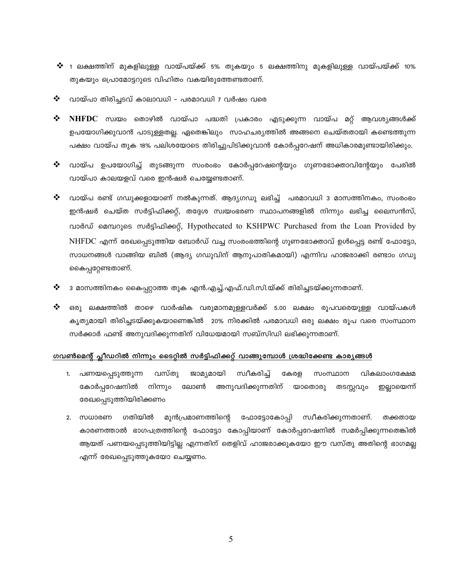- $\bm{\hat{V}}$  1 ലക്ഷത്തിന് മുകളിലുള്ള വായ്പയ്ക്ക് 5% തുകയും 5 ലക്ഷത്തിനു മുകളിലുള്ള വായ്പയ്ക്ക് 10% തുകയും പ്രൊമോട്ടറുടെ വിഹിതം വകയിരുത്തേണ്ടതാണ്.
- ❖ വായ്പാ തിരിച്ചടവ് കാലാവധി - പരമാവധി 7 വർഷം വരെ
- ❖ NHFDC സ്വയം തൊഴിൽ വായ്പാ പദ്ധതി പ്രകാരം എടുക്കുന്ന വായ്പ മറ്റ് ആവശ്യങ്ങൾക്ക് ഉപയോഗിക്കുവാൻ പാടുള്ളതല്ല. ഏതെങ്കിലും സാഹചര്യത്തിൽ അങ്ങനെ ചെയ്തതായി കണ്ടെത്തുന്ന പക്ഷം വായ്പ തുക 18% പലിശയോടെ തിരിച്ചുപിടിക്കുവാൻ കോർപ്പറേഷന് അധികാരമുണ്ടായിരിക്കും.
- ❖ വായ്പ ഉപയോഗിച്ച് തുടങ്ങുന്ന സംരംഭം കോർപ്പറേഷന്റെയും ഗുണഭോക്താവിന്റേയും പേരിൽ വായ്പാ കാലയളവ് വരെ ഇൻഷ്വർ ചെയ്യേണ്ടതാണ്.
- ❖ വായ്പ രണ്ട് ഗഡുക്കളായാണ് നൽകുന്നത്. ആദ്യഗഡു ലഭിച്ച് പരമാവധി 3 മാസത്തിനകം, സംരംഭം ഇൻഷ്വർ ചെയ്ത സർട്ടിഫിക്കറ്റ്, തദ്ദേശ സ്വയംഭരണ സ്ഥാപനങ്ങളിൽ നിന്നും ലഭിച്ച ലൈസൻസ്, വാർഡ് മെമ്പറുടെ സർട്ടിഫിക്കറ്റ്, Hypothecated to KSHPWC Purchased from the Loan Provided by NHFDC എന്ന് രേഖപ്പെടുത്തിയ ബോർഡ് വച്ച സംരംഭത്തിന്റെ ഗുണഭോക്താവ് ഉൾപ്പെട്ട രണ്ട് ഫോട്ടോ, സാധനങ്ങൾ വാങ്ങിയ ബിൽ (ആദ്യ ഗഡുവിന് ആനുപാതികമായി) എന്നിവ ഹാജരാക്കി രണ്ടാം ഗഡു കൈപ്പറ്റേണ്ടതാണ്.
- ❖ 3 മാസത്തിനകം കൈപ്പറ്റാത്ത തുക എൻ.എച്ച്.എഫ്.ഡി.സി.യ്ക്ക് തിരിച്ചടയ്ക്കുന്നതാണ്.
- ❖ ഒരു ലക്ഷത്തിൽ താഴെ വാർഷിക വരുമാനമുള്ളവർക്ക് 5.00 ലക്ഷം രൂപവരെയുള്ള വായ്പകൾ കൃത്യമായി തിരിച്ചടയ്ക്കുകയാണെങ്കിൽ 20% നിരക്കിൽ പരമാവധി ഒരു ലക്ഷം രൂപ വരെ സംസ്ഥാന സർക്കാർ ഫണ്ട് അനുവദിക്കുന്നതിന് വിധേയമായി സബ്സിഡി ലഭിക്കുന്നതാണ്.

#### ഗവൺമെന്റ് പ്ലീഡറിൽ നിന്നും ടൈറ്റിൽ സർട്ടിഫിക്കറ്റ് വാങ്ങുമ്പോൾ ശ്രദ്ധിക്കേണ്ട കാര്യങ്ങൾ

- 1. പണയപ്പെടുത്തുന്ന വസ്തു ജാമ്യമായി സ്വീകരിച് കേരള സംസ്ഥാന വികലാംഗക്ഷേമ കോർപ്പറേഷനിൽ നിന്നും ലോൺ അനുവദിക്കുന്നതിന് യാതൊരു തടസ്സവും ഇല്ലായെന്ന് രേഖപ്പെടുത്തിയിരിക്കണം
- 2. സധാരണ ഗതിയിൽ മുൻപ്രമാണത്തിന്റെ ഫോട്ടോകോപ്പി സ്വീകരിക്കുന്നതാണ്. തക്കതായ കാരണത്താൽ ഭാഗപത്രത്തിന്റെ ഫോട്ടോ കോപ്പിയാണ് കോർപ്പറേഷനിൽ സമർപ്പിക്കുന്നതെങ്കിൽ ആയത് പണയപ്പെടുത്തിയിട്ടില്ല എന്നതിന് തെളിവ് ഹാജരാക്കുകയോ ഈ വസ്തു അതിന്റെ ഭാഗമല്ല എന്ന് രേഖപ്പെടുത്തുകയോ ചെയ്യണം.

5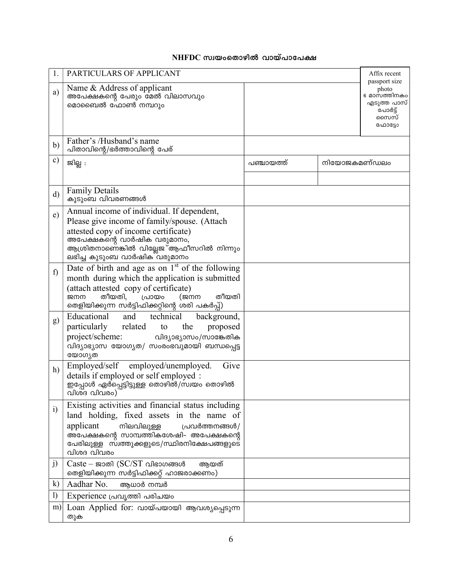# $NHFDC$  സ്വയംതൊഴിൽ വായ്പാപേക്ഷ

|                  | PARTICULARS OF APPLICANT                                                                                                                                                                                                                                   |            |              | Affix recent                                                                       |
|------------------|------------------------------------------------------------------------------------------------------------------------------------------------------------------------------------------------------------------------------------------------------------|------------|--------------|------------------------------------------------------------------------------------|
| a)               | Name & Address of applicant<br>അപേക്ഷകന്റെ പേരും മേൽ വിലാസവും<br>മൊബൈൽ ഫോൺ നമ്പറും                                                                                                                                                                         |            |              | passport size<br>photo<br>6 മാസത്തിനകം<br>എടുത്ത പാസ്<br>പോർട്ട്<br>സൈസ്<br>ഫോട്ടോ |
| b)               | Father's /Husband's name<br>പിതാവിന്റെ/ഭർത്താവിന്റെ പേര്                                                                                                                                                                                                   |            |              |                                                                                    |
| $\mathbf{c})$    | ജില്ല :                                                                                                                                                                                                                                                    | പഞ്ചായത്ത് | നിയോജകമണ്ഡലം |                                                                                    |
| $\mathbf{d}$     | <b>Family Details</b><br>കുടുംബ വിവരണങ്ങൾ                                                                                                                                                                                                                  |            |              |                                                                                    |
| $\epsilon$ )     | Annual income of individual. If dependent,<br>Please give income of family/spouse. (Attach<br>attested copy of income certificate)<br>അപേക്ഷകന്റെ വാർഷിക വരുമാനം,<br>ആശ്രിതനാണെ്ങ്കിൽ വില്ലേജ <sup>്</sup> ആഫീസറിൽ നിന്നും<br>ലഭിച്ച കുടുംബ വാർഷിക വരുമാനം |            |              |                                                                                    |
| $\mathbf{f}$     | Date of birth and age as on $1st$ of the following<br>month during which the application is submitted<br>(attach attested copy of certificate)<br>തീയതി,<br>പ്രായം<br>തീയതി<br>$(\approx$ m<br>ജനന<br>തെളിയിക്കുന്ന സർട്ടിഫിക്കറ്റിന്റെ ശരി പകർപ്പ്)       |            |              |                                                                                    |
| g)               | Educational<br>technical<br>and<br>background,<br>related<br>particularly<br>the<br>proposed<br>to<br>project/scheme:<br>വിദ്യാഭ്യാസം/സാങ്കേതിക<br>വിദ്യാഭ്യാസ യോഗൃത/ സംരംഭവുമായി ബന്ധപ്പെട്ട<br>യോഗ്യത                                                    |            |              |                                                                                    |
| h)               | Give<br>Employed/self employed/unemployed.<br>details if employed or self employed :<br>ഇപ്പോൾ ഏർപ്പെട്ടിട്ടുള്ള തൊഴിൽ/സ്വയം തൊഴിൽ<br>വിശദ വിവരം)                                                                                                          |            |              |                                                                                    |
| $\ddot{i}$       | Existing activities and financial status including<br>land holding, fixed assets in the name of<br>applicant<br>നിലവിലുള്ള<br>പ്രവർത്തനങ്ങൾ/<br>അപേക്ഷകന്റെ സാമ്പത്തികശേഷി– അപേക്ഷകന്റെ<br>പേരിലുള്ള സ്വത്തുക്കളുടെ/സ്ഥിരനിക്ഷേപങ്ങളുടെ<br>വിശദ വിവരം      |            |              |                                                                                    |
| j)               | Caste – ജാതി ( $SC/ST$ വിഭാഗങ്ങൾ<br>ആയത്<br>തെളിയിക്കുന്ന സർട്ടിഫിക്കറ്റ് ഹാജരാക്കണം)                                                                                                                                                                      |            |              |                                                                                    |
| $\bf k)$         | Aadhar No.<br>ആധാർ നമ്പർ                                                                                                                                                                                                                                   |            |              |                                                                                    |
| $\left( \right)$ | Experience പ്രവൃത്തി പരിചയം                                                                                                                                                                                                                                |            |              |                                                                                    |
| m)               | Loan Applied for: വായ്പയായി ആവശ്യപ്പെടുന്ന<br>തുക                                                                                                                                                                                                          |            |              |                                                                                    |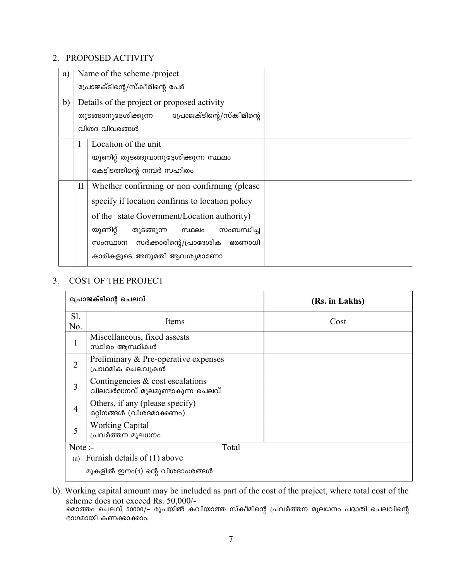# 2. PROPOSED ACTIVITY

| a) |                               | Name of the scheme /project                                                                       |  |
|----|-------------------------------|---------------------------------------------------------------------------------------------------|--|
|    | പ്രോജക്ടിന്റെ/സ്കീമിന്റെ പേര് |                                                                                                   |  |
| b) |                               | Details of the project or proposed activity<br>പ്രോജക്ടിന്റെ/സ്കീമിന്റെ<br>തുടങ്ങാനുദ്ദേശിക്കുന്ന |  |
|    |                               | വിശദ വിവരങ്ങൾ                                                                                     |  |
|    |                               | Location of the unit                                                                              |  |
|    |                               | യൂണിറ്റ് തുടങ്ങുവാനുദ്ദേശിക്കുന്ന സ്ഥലം                                                           |  |
|    |                               | കെട്ടിടത്തിന്റെ നമ്പർ സഹിതം                                                                       |  |
|    | $\rm II$                      | Whether confirming or non confirming (please                                                      |  |
|    |                               | specify if location confirms to location policy                                                   |  |
|    |                               | of the state Government/Location authority)                                                       |  |
|    |                               | യൂണിറ്റ്<br>സംബന്ധിച്ച<br>തുടങ്ങുന്ന<br>സ്ഥലം                                                     |  |
|    |                               | സർക്കാരിന്റെ/പ്രാദേശിക<br>ഭരണാധി<br>സംസ്ഥാന                                                       |  |
|    |                               | കാരികളുടെ അനുമതി ആവശ്യമാണോ                                                                        |  |

# 3. COST OF THE PROJECT

| പ്രോജക്ടിന്റെ ചെലവ് |                                                                         | (Rs. in Lakhs) |
|---------------------|-------------------------------------------------------------------------|----------------|
| S1.<br>No.          | Items                                                                   | Cost           |
| $\mathbf 1$         | Miscellaneous, fixed assests<br>സ്ഥിരം ആസ്ഥികൾ                          |                |
| $\overline{2}$      | Preliminary & Pre-operative expenses<br>പ്രാഥമിക ചെലവുകൾ                |                |
| 3                   | Contingencies $\&$ cost escalations<br>വിലവർദ്ധനവ് മൂലമുണ്ടാകുന്ന ചെലവ് |                |
| $\overline{4}$      | Others, if any (please specify)<br>മറ്റിനങ്ങൾ (വിശദമാക്കണം)             |                |
| 5                   | <b>Working Capital</b><br>പ്രവർത്തന മൂലധനം                              |                |
| Note $:$            | Total<br>Furnish details of (1) above                                   |                |
| (a)                 | മുകളിൽ ഇനം(1) ന്റെ വിശദാംശങ്ങൾ                                          |                |

b). Working capital amount may be included as part of the cost of the project, where total cost of the scheme does not exceed Rs. 50,000/-

മൊത്തം ചെലവ് 50000/– രൂപയിൽ കവിയാത്ത സ്കീമിന്റെ പ്രവർത്തന മൂലധനം പദ്ധതി ചെലവിന്റെ ഭാഗമായി കണക്കാക്കാം.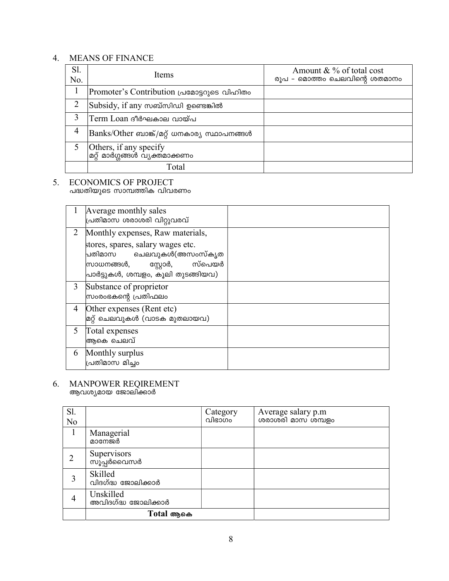# 4. MEANS OF FINANCE

| S1.<br>No. | Items                                                     | Amount $& \%$ of total cost<br>രൂപ – മൊത്തം ചെലവിന്റെ ശതമാനം |
|------------|-----------------------------------------------------------|--------------------------------------------------------------|
|            | Promoter's Contribution പ്രമോട്ടറുടെ വിഹിതം               |                                                              |
|            | $ Subsidy $ , if any സബ്സിഡി ഉണ്ടെങ്കിൽ                   |                                                              |
| 3          | Term Loan ദീർഘകാല വായ്പ                                   |                                                              |
| 4          | Banks/Other ബാങ്ക്/മറ്റ് ധനകാര്യ സ്ഥാപനങ്ങൾ               |                                                              |
|            | Others, if any specify<br> മറ്റ് മാർഗ്ഗങ്ങൾ വ്യക്തമാക്കണം |                                                              |
|            | Total                                                     |                                                              |

# 5. ECONOMICS OF PROJECT<br>പദ്ധതിയുടെ സാമ്പത്തിക വിവരണം

|   | Average monthly sales<br>പ്രതിമാസ ശരാശരി വിറ്റുവരവ്                                                                                   |  |
|---|---------------------------------------------------------------------------------------------------------------------------------------|--|
| 2 | Monthly expenses, Raw materials,                                                                                                      |  |
|   | stores, spares, salary wages etc.<br>പതിമാസ ചെലവുകൾ(അസംസ്കൃത<br>സ്റ്റോർ, സ്പെയർ<br> സാധനങ്ങൾ,<br>പ്രാർട്ടുകൾ, ശമ്പളം, കൂലി തുടങ്ങിയവ) |  |
| 3 | Substance of proprietor<br>സ്രംരംഭകന്റെ പ്രതിഫലം                                                                                      |  |
| 4 | Other expenses (Rent etc)<br>മറ്റ് ചെലവുകൾ (വാടക മുതലായവ)                                                                             |  |
| 5 | Total expenses<br>ആകെ ചെലവ്                                                                                                           |  |
| 6 | Monthly surplus<br>പ്രതിമാസ മിച്ചം                                                                                                    |  |

# 6. MANPOWER REQIREMENT<br>ആവശ്യമായ ജോലിക്കാർ

| Sl. |                                  | Category<br>വിഭാഗം | Average salary p.m<br>ശരാശരി മാസ ശമ്പളം |
|-----|----------------------------------|--------------------|-----------------------------------------|
| No  |                                  |                    |                                         |
|     | Managerial<br>മാനേജർ             |                    |                                         |
|     | Supervisors<br>സൂപ്പർവൈസർ        |                    |                                         |
| 3   | Skilled<br>വിദഗ്ദ്ധ ജോലിക്കാർ    |                    |                                         |
| 4   | Unskilled<br>അവിദഗ്ദ്ധ ജോലിക്കാർ |                    |                                         |
|     | Total ആകെ                        |                    |                                         |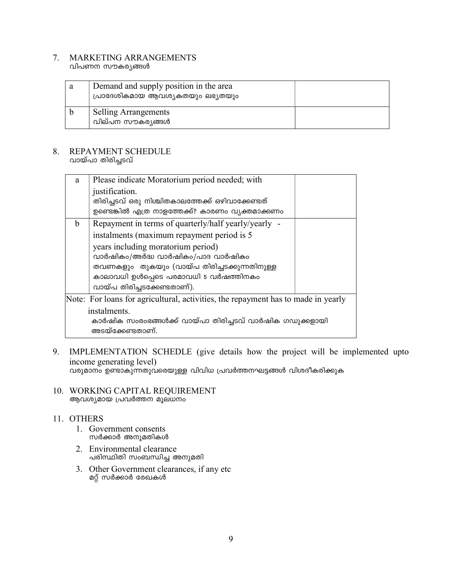# 7. MARKETING ARRANGEMENTS

വിപണന സൗകര്യങ്ങൾ

| a | Demand and supply position in the area<br>പ്രാദേശികമായ ആവശ്യകതയും ലഭ്യതയും |  |
|---|----------------------------------------------------------------------------|--|
|   | <b>Selling Arrangements</b><br>വില്പന സൗകര്യങ്ങൾ                           |  |

### 8. REPAYMENT SCHEDULE വായ്പാ തിരിച്ചടവ്

| a | Please indicate Moratorium period needed; with<br>justification.<br>തിരിച്ചടവ് ഒരു നിശ്ചിതകാലത്തേക്ക് ഒഴിവാക്കേണ്ടത്<br>ഉണ്ടെങ്കിൽ എത്ര നാളത്തേക്ക്? കാരണം വ്യക്തമാക്കണം                                                                                                                              |  |
|---|-------------------------------------------------------------------------------------------------------------------------------------------------------------------------------------------------------------------------------------------------------------------------------------------------------|--|
| b | Repayment in terms of quarterly/half yearly/yearly -<br>instalments (maximum repayment period is 5<br>years including moratorium period)<br>വാർഷികം/അർദ്ധ വാർഷികം/പാദ വാർഷികം<br>തവണകളും തുകയും (വായ്പ തിരിച്ചടക്കുന്നതിനുള്ള<br>കാലാവധി ഉൾപ്പെടെ പരമാവധി 5 വർഷത്തിനകം<br>വായ്പ തിരിച്ചടക്കേണ്ടതാണ്). |  |
|   | Note: For loans for agricultural, activities, the repayment has to made in yearly<br>instalments.<br>കാർഷിക സംരംഭങ്ങൾക്ക് വായ്പാ തിരിച്ചടവ് വാർഷിക ഗഡുക്കളായി<br>അടയ്ക്കേണ്ടതാണ്.                                                                                                                     |  |

# 9. IMPLEMENTATION SCHEDLE (give details how the project will be implemented upto income generating level)

വരുമാനം ഉണ്ടാകുന്നതുവരെയുള്ള വിവിധ പ്രവർത്തനഘട്ടങ്ങൾ വിശദീകരിക്കുക

10. WORKING CAPITAL REQUIREMENT ആവശ്യമായ പ്രവർത്തന മൂലധനം

### 11. OTHERS

- 1. Government consents സർക്കാർ അനുമതികൾ
- 2. Environmental clearance പരിസ്ഥിതി സംബന്ധിച്ച അനുമതി
- 3. Other Government clearances, if any etc മറ്റ് സർക്കാർ രേഖകൾ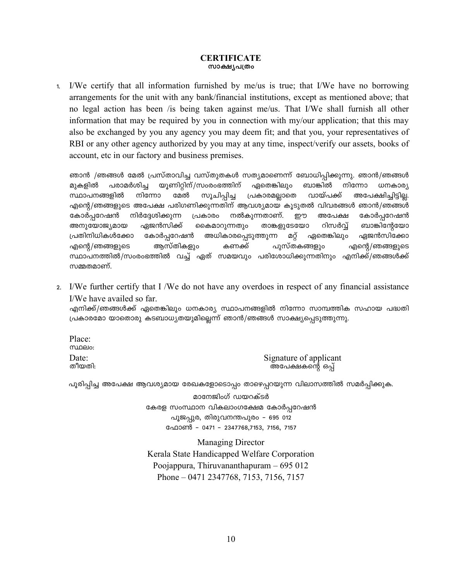### **CERTIFICATE** സാക്ഷ്യപത്രം

I/We certify that all information furnished by me/us is true; that I/We have no borrowing  $1.$ arrangements for the unit with any bank/financial institutions, except as mentioned above; that no legal action has been /is being taken against me/us. That I/We shall furnish all other information that may be required by you in connection with my/our application; that this may also be exchanged by you any agency you may deem fit; and that you, your representatives of RBI or any other agency authorized by you may at any time, inspect/verify our assets, books of account, etc in our factory and business premises.

ഞാൻ /ഞങ്ങൾ മേൽ പ്രസ്താവിച്ച വസ്തുതകൾ സത്യമാണെന്ന് ബോധിപ്പിക്കുന്നു. ഞാൻ/ഞങ്ങൾ പരാമർശിച്ച യുണിറ്റിന്/സംരംഭത്തിന് ഏതെങ്കിലും ബാങ്കിൽ നിന്നോ ധനകാര്യ മുകളിൽ സ്ഥാപനങ്ങളിൽ നിന്നോ വായ്പക്ക് മേൽ സൂചിപ്പിച്ച പ്രകാരമല്ലാതെ അപേക്ഷിച്ചിട്ടില്ല. എന്റെ/ഞങ്ങളുടെ അപേക്ഷ പരിഗണിക്കുന്നതിന് ആവശ്യമായ കൂടുതൽ വിവരങ്ങൾ ഞാൻ/ഞങ്ങൾ നിർദ്ദേശിക്കുന്ന നൽകുന്നതാണ്. കോർപ്പറേഷൻ പ്രകാരം றற അപേക്ഷ കോർപ്പറേഷൻ അനുയോജ്യമായ താങ്കളുടേയോ റിസർവ്വ് ബാങ്കിന്റേയോ ഏജൻസിക്ക് കൈമാറുന്നതും പ്രതിനിധികൾക്കോ കോർപ്പറേഷൻ അധികാരപ്പെടുത്തുന്ന മറ്റ് ഏതെങ്കിലും ഏജൻസിക്കോ എന്റെ/ഞങ്ങളുടെ ആസ്തികളും കണക്ക് പുസ്തകങ്ങളും എന്റെ/ഞങ്ങളുടെ സ്ഥാപനത്തിൽ/സംരംഭത്തിൽ വച്ച് ഏത് സമയവും പരിശോധിക്കുന്നതിനും എനിക്ക്/ഞങ്ങൾക്ക് സമ്മതമാണ്.

2. I/We further certify that I /We do not have any overdoes in respect of any financial assistance I/We have availed so far.

എനിക്ക്/ഞങ്ങൾക്ക് ഏതെങ്കിലും ധനകാര്യ സ്ഥാപനങ്ങളിൽ നിന്നോ സാമ്പത്തിക സഹായ പദ്ധതി പ്രകാരമോ യാതൊരു കടബാധ്യതയുമില്ലെന്ന് ഞാൻ/ഞങ്ങൾ സാക്ഷ്യപ്പെടുത്തുന്നു.

Place: **MIDELO:** Date: തീയതി:

Signature of applicant അപേക്ഷകന്റെ ഒപ്പ്

പൂരിപ്പിച്ച അപേക്ഷ ആവശ്യമായ രേഖകളോടൊപ്പം താഴെപ്പറയുന്ന വിലാസത്തിൽ സമർപ്പിക്കുക.

മാനേജിംഗ് ഡയറക്ടർ കേരള സംസ്ഥാന വികലാംഗക്ഷേമ കോർപ്പറേഷൻ പൂജപ്പുര, തിരുവനന്തപുരം - 695 012 ഫോൺ – 0471 – 2347768,7153, 7156, 7157

**Managing Director** Kerala State Handicapped Welfare Corporation Poojappura, Thiruvananthapuram  $-695012$ Phone – 0471 2347768, 7153, 7156, 7157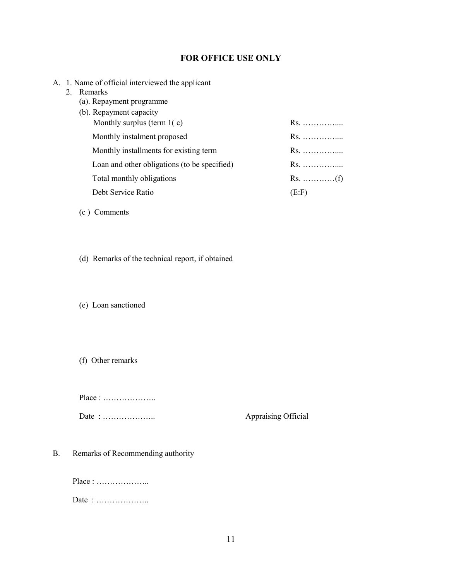### FOR OFFICE USE ONLY

- A. 1. Name of official interviewed the applicant
	- 2. Remarks
		- (a). Repayment programme
		- (b). Repayment capacity Monthly surplus (term 1( c) Rs. ………….... Monthly instalment proposed Rs. …………….. Monthly installments for existing term Rs. …………….. Loan and other obligations (to be specified) Rs. …………….. Total monthly obligations Rs. …………(f) Debt Service Ratio (E:F)
		- (c ) Comments
		- (d) Remarks of the technical report, if obtained

(e) Loan sanctioned

(f) Other remarks

Place : ………………..

Date : ……………….. Appraising Official

B. Remarks of Recommending authority

Place : ……………….. Date : ………………..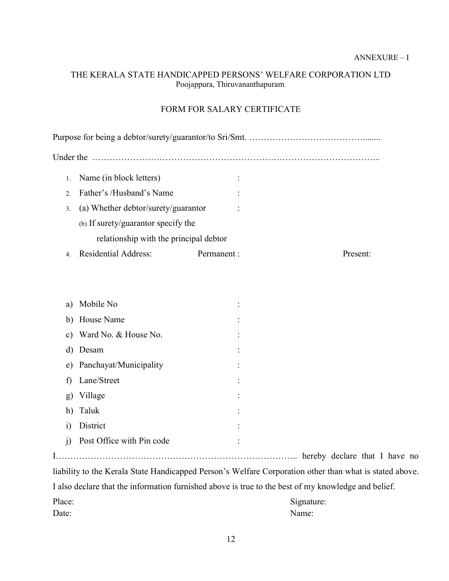# THE KERALA STATE HANDICAPPED PERSONS' WELFARE CORPORATION LTD Poojappura, Thiruvananthapuram.

## FORM FOR SALARY CERTIFICATE

| Under the                              |                                     |             |  |          |
|----------------------------------------|-------------------------------------|-------------|--|----------|
|                                        | Name (in block letters)             |             |  |          |
| $\mathcal{D}$                          | Father's /Husband's Name            |             |  |          |
| 3.                                     | (a) Whether debtor/surety/guarantor |             |  |          |
|                                        | (b) If surety/guarantor specify the |             |  |          |
| relationship with the principal debtor |                                     |             |  |          |
|                                        | <b>Residential Address:</b>         | Permanent : |  | Present: |

| a)                                                                                                      | Mobile No                 |  |  |
|---------------------------------------------------------------------------------------------------------|---------------------------|--|--|
|                                                                                                         | b) House Name             |  |  |
|                                                                                                         | c) Ward No. & House No.   |  |  |
| d)                                                                                                      | Desam                     |  |  |
| e)                                                                                                      | Panchayat/Municipality    |  |  |
| f)                                                                                                      | Lane/Street               |  |  |
| g)                                                                                                      | Village                   |  |  |
|                                                                                                         | h) Taluk                  |  |  |
| 1)                                                                                                      | District                  |  |  |
| $\overline{1}$                                                                                          | Post Office with Pin code |  |  |
|                                                                                                         |                           |  |  |
| liability to the Kerala State Handicapped Person's Welfare Corporation other than what is stated above. |                           |  |  |
|                                                                                                         |                           |  |  |

I also declare that the information furnished above is true to the best of my knowledge and belief.

| Place: | Signature: |
|--------|------------|
| Date:  | Name:      |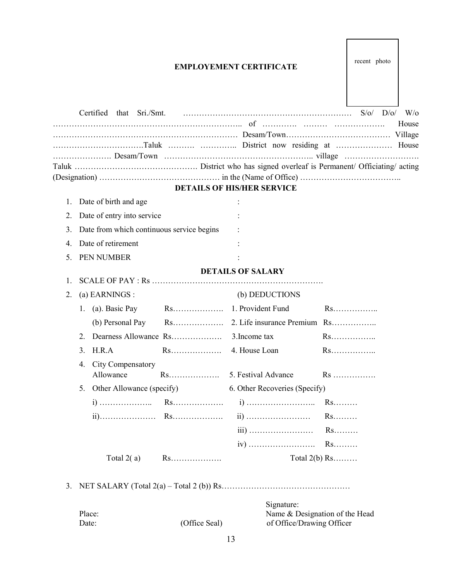# EMPLOYEMENT CERTIFICATE

|    |                                                                  |                      |                                              |                 |                                  | $W$ /0 |
|----|------------------------------------------------------------------|----------------------|----------------------------------------------|-----------------|----------------------------------|--------|
|    |                                                                  |                      |                                              |                 |                                  | House  |
|    |                                                                  |                      |                                              |                 |                                  |        |
|    |                                                                  |                      |                                              |                 |                                  |        |
|    |                                                                  |                      |                                              |                 |                                  |        |
|    |                                                                  |                      |                                              |                 |                                  |        |
|    |                                                                  |                      | <b>DETAILS OF HIS/HER SERVICE</b>            |                 |                                  |        |
| 1. | Date of birth and age                                            |                      |                                              |                 |                                  |        |
| 2. | Date of entry into service                                       |                      |                                              |                 |                                  |        |
| 3. | Date from which continuous service begins                        |                      |                                              |                 |                                  |        |
| 4. | Date of retirement                                               |                      |                                              |                 |                                  |        |
| 5. | PEN NUMBER                                                       |                      |                                              |                 |                                  |        |
|    |                                                                  |                      | <b>DETAILS OF SALARY</b>                     |                 |                                  |        |
| 1. |                                                                  |                      |                                              |                 |                                  |        |
| 2. | (a) EARNINGS :                                                   |                      | (b) DEDUCTIONS                               |                 |                                  |        |
|    | 1. (a). Basic Pay                                                | $Rs.\dots\dots\dots$ | 1. Provident Fund                            |                 |                                  |        |
|    | (b) Personal Pay                                                 |                      |                                              |                 |                                  |        |
|    | 2.                                                               |                      | 3. Income tax                                |                 | $Rs.\dots\dots$                  |        |
|    | H.R.A<br>3.                                                      |                      |                                              |                 | Rs                               |        |
|    | City Compensatory<br>4.                                          |                      |                                              |                 |                                  |        |
|    | Allowance                                                        |                      |                                              |                 | $Rs \ldots \ldots \ldots \ldots$ |        |
|    | Other Allowance (specify)<br>6. Other Recoveries (Specify)<br>5. |                      |                                              |                 |                                  |        |
|    |                                                                  |                      |                                              | $Rs.\dots\dots$ |                                  |        |
|    |                                                                  |                      |                                              | $Rs.\dots\dots$ |                                  |        |
|    |                                                                  |                      |                                              | $Rs.\dots\dots$ |                                  |        |
|    |                                                                  |                      |                                              |                 |                                  |        |
|    | Total $2(a)$                                                     | $Rs.\dots\dots\dots$ | Total $2(b)$ Rs                              |                 |                                  |        |
|    |                                                                  |                      |                                              |                 |                                  |        |
| 3. |                                                                  |                      |                                              |                 |                                  |        |
|    |                                                                  |                      |                                              |                 |                                  |        |
|    | Place:                                                           |                      | Signature:<br>Name & Designation of the Head |                 |                                  |        |
|    |                                                                  |                      |                                              |                 |                                  |        |

Date: (Office Seal) of Office/Drawing Officer